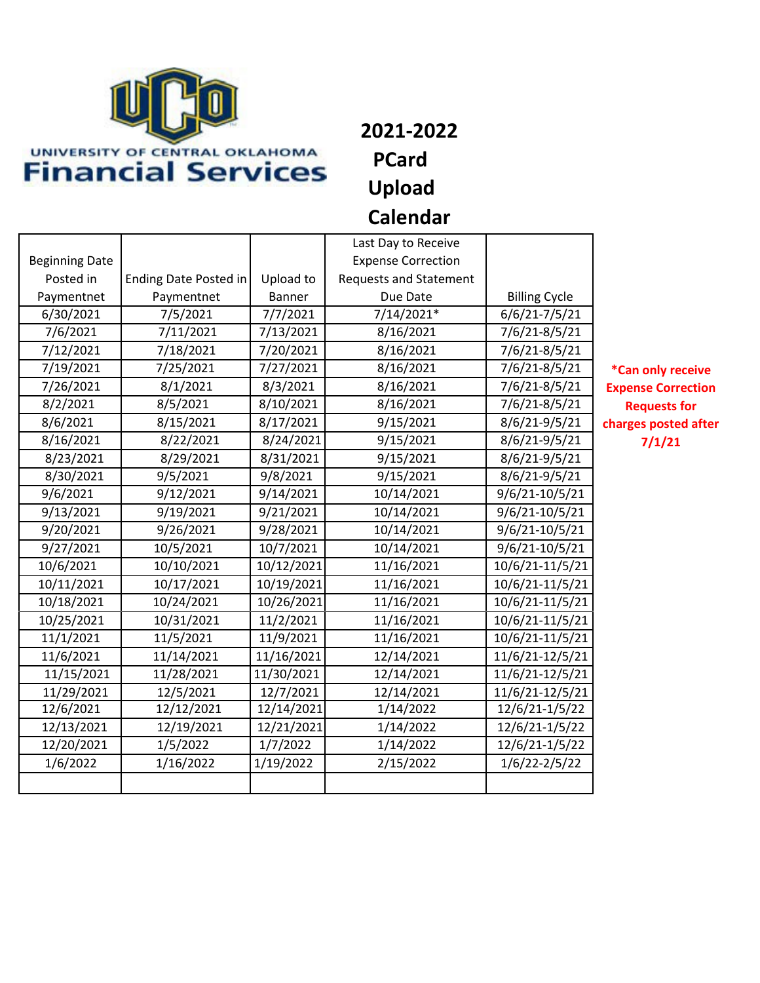

**2021-2022 PCard Upload Calendar**

|                          | Last Day to Receive          |               |                                            |                      |
|--------------------------|------------------------------|---------------|--------------------------------------------|----------------------|
| <b>Beginning Date</b>    |                              |               | <b>Expense Correction</b>                  |                      |
| Posted in                | <b>Ending Date Posted in</b> |               | Upload to<br><b>Requests and Statement</b> |                      |
| Paymentnet<br>Paymentnet |                              | <b>Banner</b> | Due Date                                   | <b>Billing Cycle</b> |
| 6/30/2021                | 7/5/2021                     |               | 7/14/2021*                                 | 6/6/21-7/5/21        |
| 7/6/2021                 | 7/11/2021                    | 7/13/2021     | 8/16/2021                                  | 7/6/21-8/5/21        |
| 7/12/2021                | 7/18/2021                    |               | 8/16/2021                                  | 7/6/21-8/5/21        |
| 7/19/2021                | 7/25/2021                    | 7/27/2021     | 8/16/2021                                  | 7/6/21-8/5/21        |
| 7/26/2021                | 8/1/2021                     | 8/3/2021      | 8/16/2021                                  | 7/6/21-8/5/21        |
| 8/2/2021                 | 8/5/2021                     | 8/10/2021     | 8/16/2021                                  | 7/6/21-8/5/21        |
| 8/6/2021                 | 8/15/2021                    | 8/17/2021     | 9/15/2021                                  | 8/6/21-9/5/21        |
| 8/16/2021                | 8/22/2021                    | 8/24/2021     | 9/15/2021                                  | 8/6/21-9/5/21        |
| 8/23/2021                | 8/29/2021                    | 8/31/2021     | 9/15/2021                                  | 8/6/21-9/5/21        |
| 8/30/2021                | 9/5/2021                     | 9/8/2021      | 9/15/2021                                  | 8/6/21-9/5/21        |
| 9/6/2021                 | 9/12/2021                    | 9/14/2021     | 10/14/2021                                 | 9/6/21-10/5/21       |
| 9/13/2021                | 9/19/2021                    | 9/21/2021     | 10/14/2021                                 | 9/6/21-10/5/21       |
| 9/20/2021                | 9/26/2021                    | 9/28/2021     | 10/14/2021                                 | 9/6/21-10/5/21       |
| 9/27/2021                | 10/5/2021                    |               | 10/14/2021                                 | 9/6/21-10/5/21       |
| 10/6/2021<br>10/10/2021  |                              | 10/12/2021    | 11/16/2021                                 | 10/6/21-11/5/21      |
| 10/11/2021               | 10/17/2021                   | 10/19/2021    | 11/16/2021                                 | 10/6/21-11/5/21      |
| 10/18/2021               | 10/24/2021                   | 10/26/2021    | 11/16/2021                                 | 10/6/21-11/5/21      |
| 10/25/2021               | 10/31/2021                   | 11/2/2021     | 11/16/2021                                 | 10/6/21-11/5/21      |
| 11/1/2021                | 11/5/2021                    | 11/9/2021     | 11/16/2021                                 | 10/6/21-11/5/21      |
| 11/6/2021                | 11/14/2021                   | 11/16/2021    | 12/14/2021                                 | 11/6/21-12/5/21      |
| 11/15/2021               | 11/28/2021                   | 11/30/2021    | 12/14/2021                                 | 11/6/21-12/5/21      |
| 11/29/2021               | 12/5/2021                    | 12/7/2021     | 12/14/2021                                 | 11/6/21-12/5/21      |
| 12/6/2021                | 12/12/2021                   | 12/14/2021    | 1/14/2022                                  | 12/6/21-1/5/22       |
| 12/13/2021               | 12/19/2021                   |               | 1/14/2022                                  | 12/6/21-1/5/22       |
| 12/20/2021               | 1/5/2022                     | 1/7/2022      | 1/14/2022                                  | 12/6/21-1/5/22       |
| 1/6/2022                 | 1/16/2022                    | 1/19/2022     | 2/15/2022                                  | $1/6/22 - 2/5/22$    |
|                          |                              |               |                                            |                      |
|                          |                              |               |                                            |                      |

**\*Can only receive Expense Correction Requests for charges posted after 7/1/21**